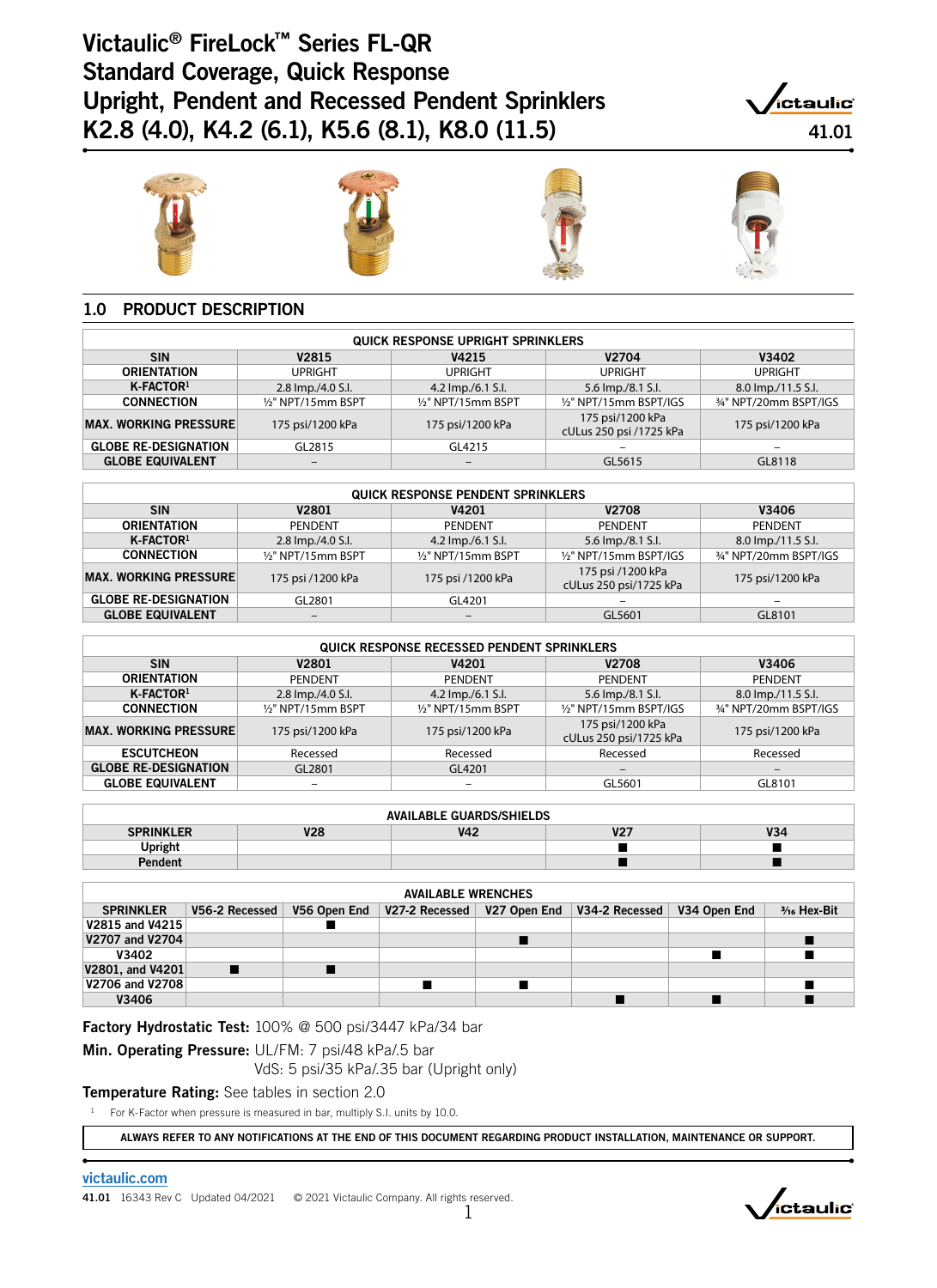# Victaulic® FireLock™ Series FL-QR Standard Coverage, Quick Response Upright, Pendent and Recessed Pendent Sprinklers K2.8 (4.0), K4.2 (6.1), K5.6 (8.1), K8.0 (11.5) 41.01











## 1.0 PRODUCT DESCRIPTION

| <b>QUICK RESPONSE UPRIGHT SPRINKLERS</b>                               |                          |                              |                                             |                       |  |  |  |  |
|------------------------------------------------------------------------|--------------------------|------------------------------|---------------------------------------------|-----------------------|--|--|--|--|
| <b>SIN</b><br>V <sub>2704</sub><br>V4215<br>V <sub>2815</sub><br>V3402 |                          |                              |                                             |                       |  |  |  |  |
| <b>ORIENTATION</b>                                                     | <b>UPRIGHT</b>           | <b>UPRIGHT</b>               | <b>UPRIGHT</b>                              | <b>UPRIGHT</b>        |  |  |  |  |
| $K$ -FACTOR <sup>1</sup>                                               | 2.8 lmp./4.0 S.l.        | 4.2 lmp./6.1 S.l.            | 5.6 lmp./8.1 S.l.                           | 8.0 lmp./11.5 S.l.    |  |  |  |  |
| <b>CONNECTION</b>                                                      | 1/2" NPT/15mm BSPT       | 1/2" NPT/15mm BSPT           | 1/2" NPT/15mm BSPT/IGS                      | 34" NPT/20mm BSPT/IGS |  |  |  |  |
| <b>MAX. WORKING PRESSURE</b>                                           | 175 psi/1200 kPa         | 175 psi/1200 kPa             | 175 psi/1200 kPa<br>cULus 250 psi /1725 kPa | 175 psi/1200 kPa      |  |  |  |  |
| <b>GLOBE RE-DESIGNATION</b>                                            | GL2815                   | GL4215                       | -                                           |                       |  |  |  |  |
| <b>GLOBE EQUIVALENT</b>                                                | $\overline{\phantom{m}}$ | $\qquad \qquad \blacksquare$ | GL5615                                      | GL8118                |  |  |  |  |

| <b>QUICK RESPONSE PENDENT SPRINKLERS</b> |                                                |                              |                                             |                       |  |  |  |  |
|------------------------------------------|------------------------------------------------|------------------------------|---------------------------------------------|-----------------------|--|--|--|--|
| <b>SIN</b>                               | <b>V2708</b><br>V2801<br><b>V4201</b><br>V3406 |                              |                                             |                       |  |  |  |  |
| <b>ORIENTATION</b>                       | PENDENT                                        | <b>PENDENT</b>               | PENDENT                                     | <b>PENDENT</b>        |  |  |  |  |
| $K$ -FACTOR <sup>1</sup>                 | 2.8 lmp./4.0 S.l.                              | 4.2 lmp./6.1 S.l.            | 5.6 lmp./8.1 S.l.                           | 8.0 lmp./11.5 S.l.    |  |  |  |  |
| <b>CONNECTION</b>                        | 1/2" NPT/15mm BSPT                             | 1/2" NPT/15mm BSPT           | 1/2" NPT/15mm BSPT/IGS                      | 34" NPT/20mm BSPT/IGS |  |  |  |  |
| <b>MAX. WORKING PRESSURE</b>             | 175 psi /1200 kPa                              | 175 psi /1200 kPa            | 175 psi /1200 kPa<br>cULus 250 psi/1725 kPa | 175 psi/1200 kPa      |  |  |  |  |
| <b>GLOBE RE-DESIGNATION</b>              | GL2801                                         | GL4201                       |                                             |                       |  |  |  |  |
| <b>GLOBE EQUIVALENT</b>                  | $\overline{\phantom{m}}$                       | $\qquad \qquad \blacksquare$ | GL5601                                      | GL8101                |  |  |  |  |

| <b>QUICK RESPONSE RECESSED PENDENT SPRINKLERS</b>            |                    |                    |                                            |                       |  |  |  |
|--------------------------------------------------------------|--------------------|--------------------|--------------------------------------------|-----------------------|--|--|--|
| <b>SIN</b><br>V3406<br>V4201<br><b>V2708</b><br><b>V2801</b> |                    |                    |                                            |                       |  |  |  |
| <b>ORIENTATION</b>                                           | <b>PENDENT</b>     | <b>PENDENT</b>     | PENDENT                                    | <b>PENDENT</b>        |  |  |  |
| $K$ -FACTOR <sup>1</sup>                                     | 2.8 lmp./4.0 S.I.  | 4.2 lmp./6.1 S.l.  | 5.6 lmp./8.1 S.l.                          | 8.0 lmp./11.5 S.l.    |  |  |  |
| <b>CONNECTION</b>                                            | 1/2" NPT/15mm BSPT | 1/2" NPT/15mm BSPT | 1/2" NPT/15mm BSPT/IGS                     | 34" NPT/20mm BSPT/IGS |  |  |  |
| <b>MAX. WORKING PRESSURE</b>                                 | 175 psi/1200 kPa   | 175 psi/1200 kPa   | 175 psi/1200 kPa<br>cULus 250 psi/1725 kPa | 175 psi/1200 kPa      |  |  |  |
| <b>ESCUTCHEON</b>                                            | Recessed           | Recessed           | Recessed                                   | Recessed              |  |  |  |
| <b>GLOBE RE-DESIGNATION</b>                                  | GL2801             | GL4201             |                                            |                       |  |  |  |
| <b>GLOBE EQUIVALENT</b>                                      |                    |                    | GL5601                                     | GL8101                |  |  |  |

| <b>AVAILABLE GUARDS/SHIELDS</b>                                                |  |  |  |  |  |
|--------------------------------------------------------------------------------|--|--|--|--|--|
| V28<br>$\sim$<br><b>110.4</b><br><b>SPRINKLER</b><br><b>V42</b><br>V34<br>72 I |  |  |  |  |  |
| <b>Upright</b>                                                                 |  |  |  |  |  |
| Pendent                                                                        |  |  |  |  |  |

| <b>AVAILABLE WRENCHES</b> |                |              |  |                               |                               |  |                |
|---------------------------|----------------|--------------|--|-------------------------------|-------------------------------|--|----------------|
| <b>SPRINKLER</b>          | V56-2 Recessed | V56 Open End |  | V27-2 Recessed   V27 Open End | V34-2 Recessed   V34 Open End |  | $3/16$ Hex-Bit |
| V2815 and V4215           |                |              |  |                               |                               |  |                |
| V2707 and V2704           |                |              |  |                               |                               |  |                |
| V3402                     |                |              |  |                               |                               |  |                |
| V2801, and V4201          |                |              |  |                               |                               |  |                |
| V2706 and V2708           |                |              |  |                               |                               |  |                |
| V3406                     |                |              |  |                               |                               |  |                |

Factory Hydrostatic Test: 100% @ 500 psi/3447 kPa/34 bar

# Min. Operating Pressure: UL/FM: 7 psi/48 kPa/.5 bar

VdS: 5 psi/35 kPa/.35 bar (Upright only)

**Temperature Rating:** See tables in section 2.0

<sup>1</sup> For K-Factor when pressure is measured in bar, multiply S.I. units by 10.0.

ALWAYS REFER TO ANY NOTIFICATIONS AT THE END OF THIS DOCUMENT REGARDING PRODUCT INSTALLATION, MAINTENANCE OR SUPPORT.

#### [victaulic.com](http://www.victaulic.com)

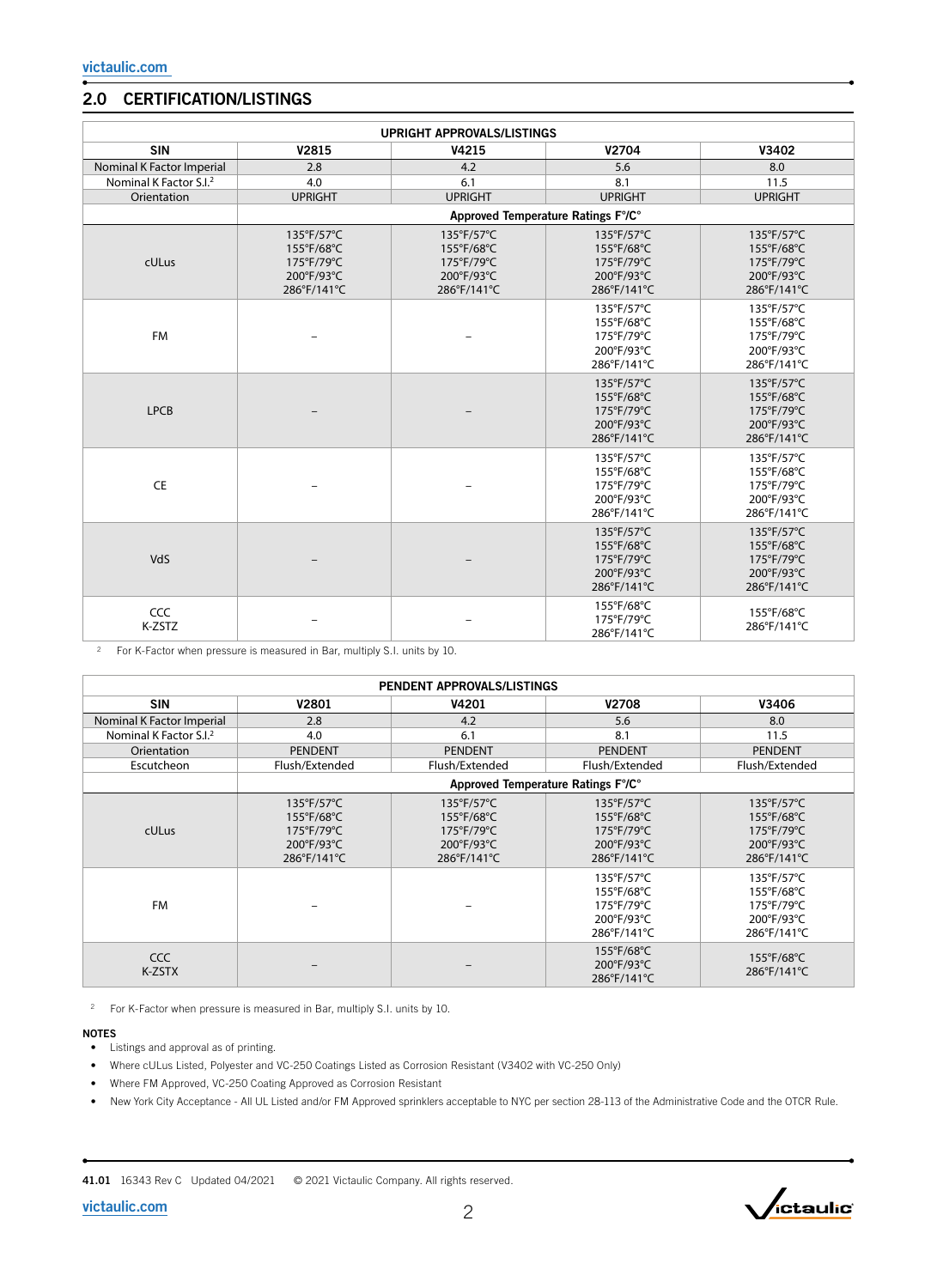### 2.0 CERTIFICATION/LISTINGS

| <b>UPRIGHT APPROVALS/LISTINGS</b>  |                                                                     |                                                                     |                                                                     |                                                                     |  |
|------------------------------------|---------------------------------------------------------------------|---------------------------------------------------------------------|---------------------------------------------------------------------|---------------------------------------------------------------------|--|
| <b>SIN</b>                         | V2815                                                               | V4215                                                               | V2704                                                               | V3402                                                               |  |
| Nominal K Factor Imperial          | 2.8                                                                 | 4.2                                                                 | 5.6                                                                 | 8.0                                                                 |  |
| Nominal K Factor S.I. <sup>2</sup> | 4.0                                                                 | 6.1                                                                 | 8.1                                                                 | 11.5                                                                |  |
| Orientation                        | <b>UPRIGHT</b>                                                      | <b>UPRIGHT</b>                                                      | <b>UPRIGHT</b>                                                      | <b>UPRIGHT</b>                                                      |  |
|                                    |                                                                     | Approved Temperature Ratings F°/C°                                  |                                                                     |                                                                     |  |
| cULus                              | 135°F/57°C<br>155°F/68°C<br>175°F/79°C<br>200°F/93°C<br>286°F/141°C | 135°F/57°C<br>155°F/68°C<br>175°F/79°C<br>200°F/93°C<br>286°F/141°C | 135°F/57°C<br>155°F/68°C<br>175°F/79°C<br>200°F/93°C<br>286°F/141°C | 135°F/57°C<br>155°F/68°C<br>175°F/79°C<br>200°F/93°C<br>286°F/141°C |  |
| <b>FM</b>                          |                                                                     |                                                                     | 135°F/57°C<br>155°F/68°C<br>175°F/79°C<br>200°F/93°C<br>286°F/141°C | 135°F/57°C<br>155°F/68°C<br>175°F/79°C<br>200°F/93°C<br>286°F/141°C |  |
| <b>LPCB</b>                        |                                                                     |                                                                     | 135°F/57°C<br>155°F/68°C<br>175°F/79°C<br>200°F/93°C<br>286°F/141°C | 135°F/57°C<br>155°F/68°C<br>175°F/79°C<br>200°F/93°C<br>286°F/141°C |  |
| <b>CE</b>                          |                                                                     |                                                                     | 135°F/57°C<br>155°F/68°C<br>175°F/79°C<br>200°F/93°C<br>286°F/141°C | 135°F/57°C<br>155°F/68°C<br>175°F/79°C<br>200°F/93°C<br>286°F/141°C |  |
| VdS                                |                                                                     |                                                                     | 135°F/57°C<br>155°F/68°C<br>175°F/79°C<br>200°F/93°C<br>286°F/141°C | 135°F/57°C<br>155°F/68°C<br>175°F/79°C<br>200°F/93°C<br>286°F/141°C |  |
| CCC<br>K-ZSTZ                      |                                                                     |                                                                     | 155°F/68°C<br>175°F/79°C<br>286°F/141°C                             | 155°F/68°C<br>286°F/141°C                                           |  |

<sup>2</sup> For K-Factor when pressure is measured in Bar, multiply S.I. units by 10.

| PENDENT APPROVALS/LISTINGS         |                                                                                                     |                                                                                     |                                                                                     |                                                                                                     |  |
|------------------------------------|-----------------------------------------------------------------------------------------------------|-------------------------------------------------------------------------------------|-------------------------------------------------------------------------------------|-----------------------------------------------------------------------------------------------------|--|
| <b>SIN</b>                         | V2801                                                                                               | V4201                                                                               | <b>V2708</b>                                                                        | V3406                                                                                               |  |
| Nominal K Factor Imperial          | 2.8                                                                                                 | 4.2                                                                                 | 5.6                                                                                 | 8.0                                                                                                 |  |
| Nominal K Factor S.I. <sup>2</sup> | 4.0                                                                                                 | 6.1                                                                                 | 8.1                                                                                 | 11.5                                                                                                |  |
| Orientation                        | <b>PENDENT</b>                                                                                      | <b>PENDENT</b>                                                                      | <b>PENDENT</b>                                                                      | <b>PENDENT</b>                                                                                      |  |
| Escutcheon                         | Flush/Extended                                                                                      | Flush/Extended                                                                      | Flush/Extended                                                                      | Flush/Extended                                                                                      |  |
|                                    |                                                                                                     | Approved Temperature Ratings F°/C°                                                  |                                                                                     |                                                                                                     |  |
| <b>cULus</b>                       | $135^{\circ}F/57^{\circ}C$<br>155°F/68°C<br>$175^{\circ}F/79^{\circ}C$<br>200°F/93°C<br>286°F/141°C | 135°F/57°C<br>155°F/68°C<br>$175^{\circ}F/79^{\circ}C$<br>200°F/93°C<br>286°F/141°C | 135°F/57°C<br>155°F/68°C<br>$175^{\circ}F/79^{\circ}C$<br>200°F/93°C<br>286°F/141°C | $135^{\circ}F/57^{\circ}C$<br>155°F/68°C<br>$175^{\circ}F/79^{\circ}C$<br>200°F/93°C<br>286°F/141°C |  |
| <b>FM</b>                          |                                                                                                     |                                                                                     | 135°F/57°C<br>155°F/68°C<br>175°F/79°C<br>200°F/93°C<br>286°F/141°C                 | 135°F/57°C<br>155°F/68°C<br>175°F/79°C<br>200°F/93°C<br>286°F/141°C                                 |  |
| <b>CCC</b><br>K-ZSTX               |                                                                                                     |                                                                                     | 155°F/68°C<br>200°F/93°C<br>286°F/141°C                                             | $155^{\circ}F/68^{\circ}C$<br>286°F/141°C                                                           |  |

<sup>2</sup> For K-Factor when pressure is measured in Bar, multiply S.I. units by 10.

#### NOTES

- Listings and approval as of printing.
- Where cULus Listed, Polyester and VC-250 Coatings Listed as Corrosion Resistant (V3402 with VC-250 Only)
- Where FM Approved, VC-250 Coating Approved as Corrosion Resistant
- New York City Acceptance All UL Listed and/or FM Approved sprinklers acceptable to NYC per section 28-113 of the Administrative Code and the OTCR Rule.

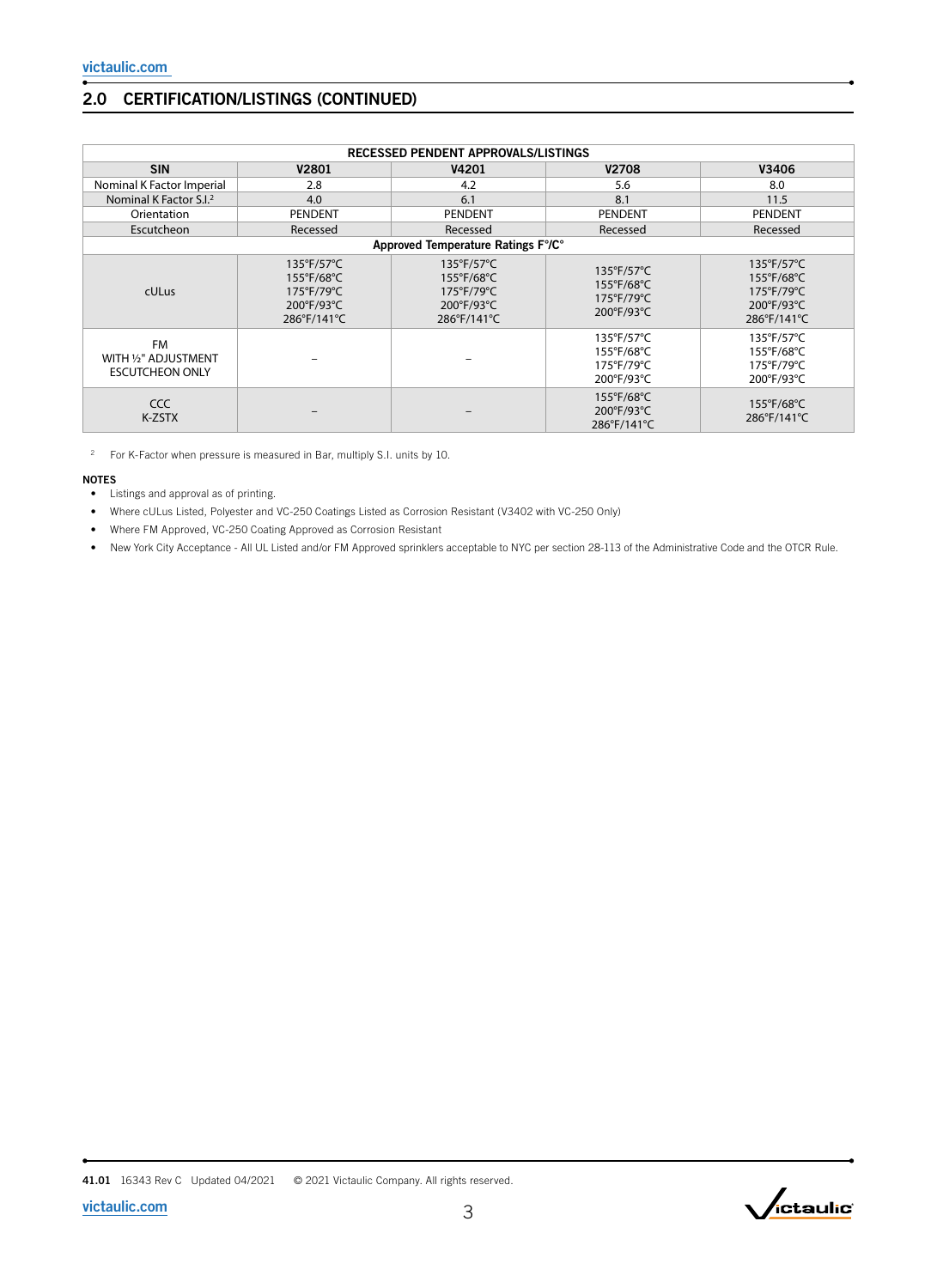# 2.0 CERTIFICATION/LISTINGS (CONTINUED)

| RECESSED PENDENT APPROVALS/LISTINGS                         |                                                                                          |                                                                                                               |                                                                                      |                                                                                     |  |
|-------------------------------------------------------------|------------------------------------------------------------------------------------------|---------------------------------------------------------------------------------------------------------------|--------------------------------------------------------------------------------------|-------------------------------------------------------------------------------------|--|
| <b>SIN</b>                                                  | V2801                                                                                    | V4201                                                                                                         | <b>V2708</b>                                                                         | V3406                                                                               |  |
| Nominal K Factor Imperial                                   | 2.8                                                                                      | 4.2                                                                                                           | 5.6                                                                                  | 8.0                                                                                 |  |
| Nominal K Factor S.I. <sup>2</sup>                          | 4.0                                                                                      | 6.1                                                                                                           | 8.1                                                                                  | 11.5                                                                                |  |
| Orientation                                                 | <b>PENDENT</b>                                                                           | <b>PENDENT</b>                                                                                                | <b>PENDENT</b>                                                                       | PENDENT                                                                             |  |
| Escutcheon                                                  | Recessed                                                                                 | Recessed                                                                                                      | Recessed                                                                             | Recessed                                                                            |  |
|                                                             |                                                                                          | Approved Temperature Ratings F°/C°                                                                            |                                                                                      |                                                                                     |  |
| <b>cULus</b>                                                | $135^{\circ}$ F/57 $^{\circ}$ C<br>155°F/68°C<br>175°F/79°C<br>200°F/93°C<br>286°F/141°C | $135^{\circ}$ F/57 $^{\circ}$ C<br>155°F/68°C<br>$175^{\circ}$ F/79 $^{\circ}$ C<br>200°F/93°C<br>286°F/141°C | $135^{\circ}F/57^{\circ}C$<br>155°F/68°C<br>$175^{\circ}F/79^{\circ}C$<br>200°F/93°C | 135°F/57°C<br>155°F/68°C<br>$175^{\circ}F/79^{\circ}C$<br>200°F/93°C<br>286°F/141°C |  |
| <b>FM</b><br>WITH 1/2" ADJUSTMENT<br><b>ESCUTCHEON ONLY</b> |                                                                                          |                                                                                                               | 135°F/57°C<br>155°F/68°C<br>175°F/79°C<br>200°F/93°C                                 | $135^{\circ}$ F/57 $^{\circ}$ C<br>155°F/68°C<br>175°F/79°C<br>200°F/93°C           |  |
| CCC.<br>K-ZSTX                                              |                                                                                          |                                                                                                               | 155°F/68°C<br>200°F/93°C<br>286°F/141°C                                              | $155^{\circ}F/68^{\circ}C$<br>286°F/141°C                                           |  |

<sup>2</sup> For K-Factor when pressure is measured in Bar, multiply S.I. units by 10.

#### NOTES

- Listings and approval as of printing.
- Where cULus Listed, Polyester and VC-250 Coatings Listed as Corrosion Resistant (V3402 with VC-250 Only)
- Where FM Approved, VC-250 Coating Approved as Corrosion Resistant
- New York City Acceptance All UL Listed and/or FM Approved sprinklers acceptable to NYC per section 28-113 of the Administrative Code and the OTCR Rule.

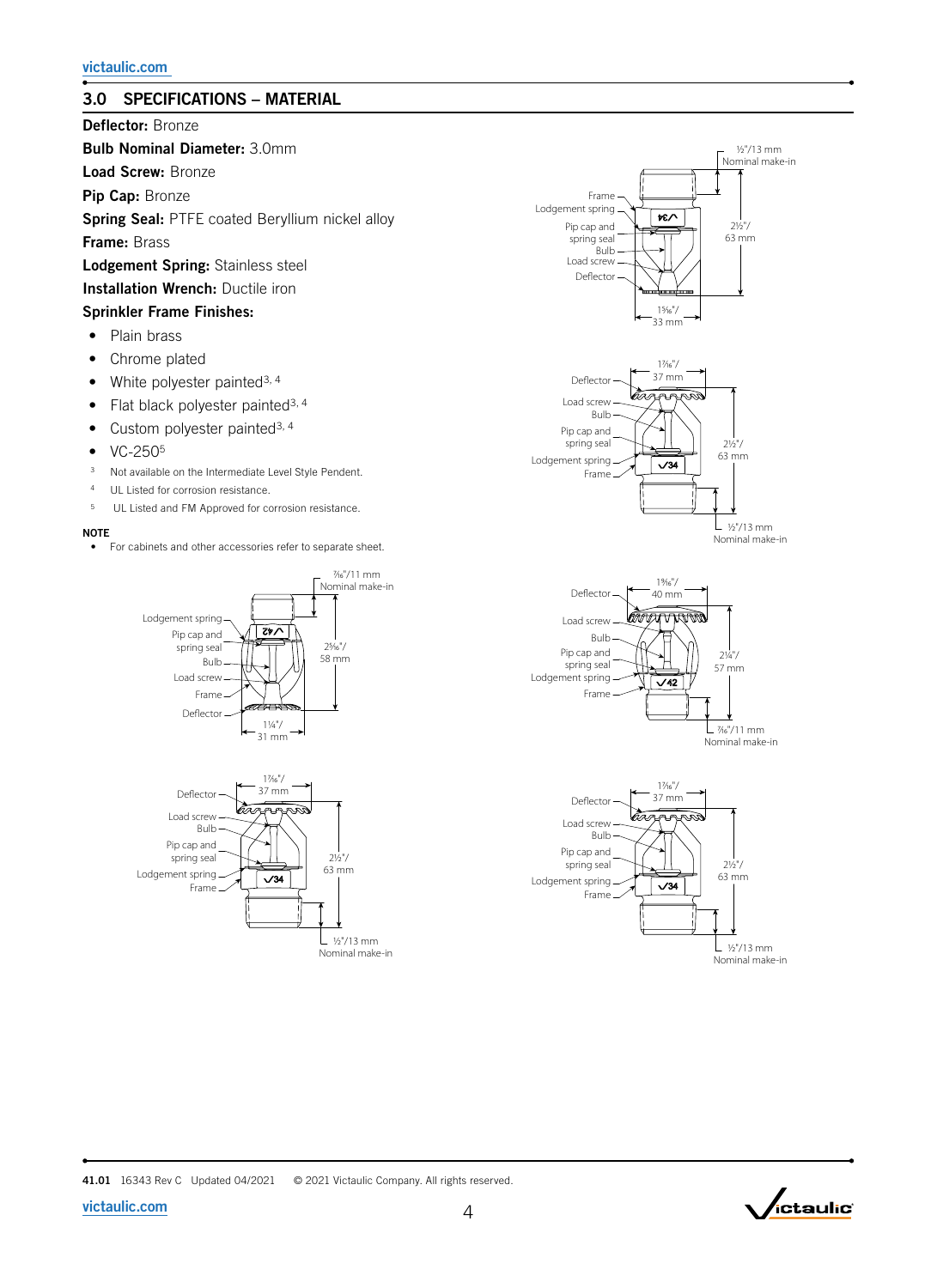## 3.0 SPECIFICATIONS – MATERIAL

Deflector: Bronze

Bulb Nominal Diameter: 3.0mm

Load Screw: Bronze

Pip Cap: Bronze

Spring Seal: PTFE coated Beryllium nickel alloy

Frame: Brass

Lodgement Spring: Stainless steel

Installation Wrench: Ductile iron

#### Sprinkler Frame Finishes:

- Plain brass
- Chrome plated
- White polyester painted<sup>3, 4</sup>
- Flat black polyester painted<sup>3, 4</sup>
- Custom polyester painted<sup>3, 4</sup>
- $\bullet$  VC-250<sup>5</sup>
- <sup>3</sup> Not available on the Intermediate Level Style Pendent.
- <sup>4</sup> UL Listed for corrosion resistance.
- 5 UL Listed and FM Approved for corrosion resistance.

#### **NOTE**

• For cabinets and other accessories refer to separate sheet.













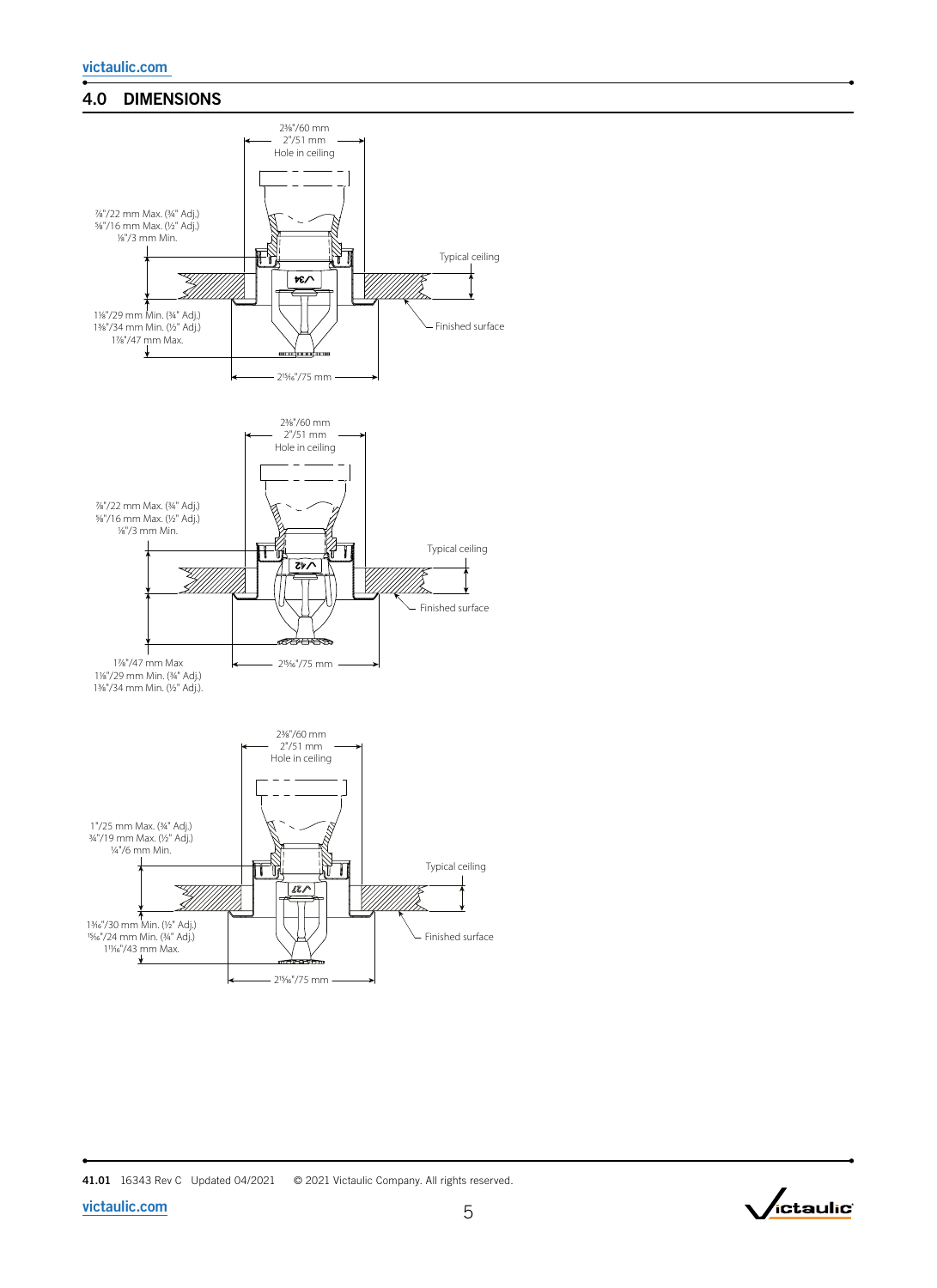### 4.0 DIMENSIONS